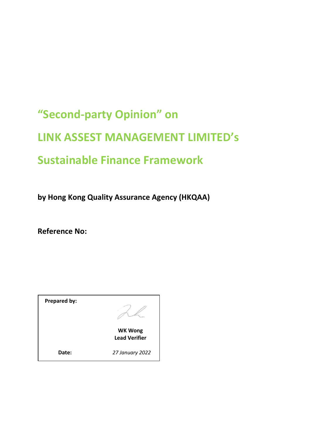# **"Second-party Opinion" on LINK ASSEST MANAGEMENT LIMITED's Sustainable Finance Framework**

**by Hong Kong Quality Assurance Agency (HKQAA)**

**Reference No:**

**Prepared by:** 



**WK Wong Lead Verifier**

**Date:** *27 January 2022*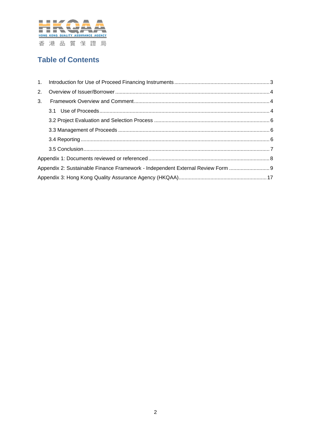

# **Table of Contents**

| 3 <sub>1</sub> |                                                                                 |  |
|----------------|---------------------------------------------------------------------------------|--|
|                |                                                                                 |  |
|                |                                                                                 |  |
|                |                                                                                 |  |
|                |                                                                                 |  |
|                |                                                                                 |  |
|                |                                                                                 |  |
|                | Appendix 2: Sustainable Finance Framework - Independent External Review Form  9 |  |
|                |                                                                                 |  |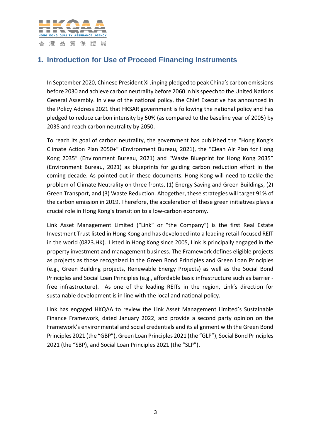

# <span id="page-2-0"></span>**1. Introduction for Use of Proceed Financing Instruments**

In September 2020, Chinese President Xi Jinping pledged to peak China's carbon emissions before 2030 and achieve carbon neutrality before 2060 in his speech to the United Nations General Assembly. In view of the national policy, the Chief Executive has announced in the Policy Address 2021 that HKSAR government is following the national policy and has pledged to reduce carbon intensity by 50% (as compared to the baseline year of 2005) by 2035 and reach carbon neutrality by 2050.

To reach its goal of carbon neutrality, the government has published the "Hong Kong's Climate Action Plan 2050+" (Environment Bureau, 2021), the "Clean Air Plan for Hong Kong 2035" (Environment Bureau, 2021) and "Waste Blueprint for Hong Kong 2035" (Environment Bureau, 2021) as blueprints for guiding carbon reduction effort in the coming decade. As pointed out in these documents, Hong Kong will need to tackle the problem of Climate Neutrality on three fronts, (1) Energy Saving and Green Buildings, (2) Green Transport, and (3) Waste Reduction. Altogether, these strategies will target 91% of the carbon emission in 2019. Therefore, the acceleration of these green initiatives plays a crucial role in Hong Kong's transition to a low-carbon economy.

Link Asset Management Limited ("Link" or "the Company") is the first Real Estate Investment Trust listed in Hong Kong and has developed into a leading retail-focused REIT in the world (0823.HK). Listed in Hong Kong since 2005, Link is principally engaged in the property investment and management business. The Framework defines eligible projects as projects as those recognized in the Green Bond Principles and Green Loan Principles (e.g., Green Building projects, Renewable Energy Projects) as well as the Social Bond Principles and Social Loan Principles (e.g., affordable basic infrastructure such as barrier free infrastructure). As one of the leading REITs in the region, Link's direction for sustainable development is in line with the local and national policy.

Link has engaged HKQAA to review the Link Asset Management Limited's Sustainable Finance Framework, dated January 2022, and provide a second party opinion on the Framework's environmental and social credentials and its alignment with the Green Bond Principles 2021 (the "GBP"), Green Loan Principles 2021 (the "GLP"), Social Bond Principles 2021 (the "SBP), and Social Loan Principles 2021 (the "SLP").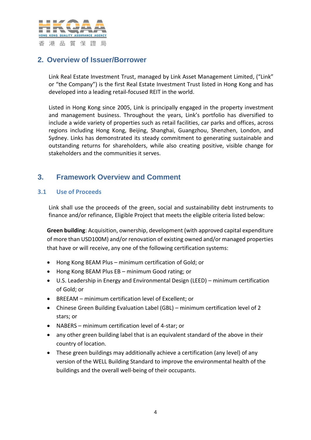

# <span id="page-3-0"></span>**2. Overview of Issuer/Borrower**

Link Real Estate Investment Trust, managed by Link Asset Management Limited, ("Link" or "the Company") is the first Real Estate Investment Trust listed in Hong Kong and has developed into a leading retail-focused REIT in the world.

Listed in Hong Kong since 2005, Link is principally engaged in the property investment and management business. Throughout the years, Link's portfolio has diversified to include a wide variety of properties such as retail facilities, car parks and offices, across regions including Hong Kong, Beijing, Shanghai, Guangzhou, Shenzhen, London, and Sydney. Links has demonstrated its steady commitment to generating sustainable and outstanding returns for shareholders, while also creating positive, visible change for stakeholders and the communities it serves.

## <span id="page-3-1"></span>**3. Framework Overview and Comment**

## <span id="page-3-2"></span>**3.1 Use of Proceeds**

Link shall use the proceeds of the green, social and sustainability debt instruments to finance and/or refinance, Eligible Project that meets the eligible criteria listed below:

**Green building**: Acquisition, ownership, development (with approved capital expenditure of more than USD100M) and/or renovation of existing owned and/or managed properties that have or will receive, any one of the following certification systems:

- Hong Kong BEAM Plus minimum certification of Gold; or
- Hong Kong BEAM Plus EB minimum Good rating; or
- U.S. Leadership in Energy and Environmental Design (LEED) minimum certification of Gold; or
- BREEAM minimum certification level of Excellent; or
- Chinese Green Building Evaluation Label (GBL) minimum certification level of 2 stars; or
- NABERS minimum certification level of 4-star; or
- any other green building label that is an equivalent standard of the above in their country of location.
- These green buildings may additionally achieve a certification (any level) of any version of the WELL Building Standard to improve the environmental health of the buildings and the overall well-being of their occupants.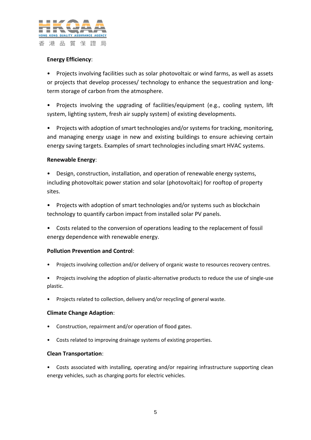

## **Energy Efficiency**:

• Projects involving facilities such as solar photovoltaic or wind farms, as well as assets or projects that develop processes/ technology to enhance the sequestration and longterm storage of carbon from the atmosphere.

• Projects involving the upgrading of facilities/equipment (e.g., cooling system, lift system, lighting system, fresh air supply system) of existing developments.

• Projects with adoption of smart technologies and/or systems for tracking, monitoring, and managing energy usage in new and existing buildings to ensure achieving certain energy saving targets. Examples of smart technologies including smart HVAC systems.

## **Renewable Energy**:

• Design, construction, installation, and operation of renewable energy systems, including photovoltaic power station and solar (photovoltaic) for rooftop of property sites.

- Projects with adoption of smart technologies and/or systems such as blockchain technology to quantify carbon impact from installed solar PV panels.
- Costs related to the conversion of operations leading to the replacement of fossil energy dependence with renewable energy.

## **Pollution Prevention and Control**:

- Projects involving collection and/or delivery of organic waste to resources recovery centres.
- Projects involving the adoption of plastic-alternative products to reduce the use of single-use plastic.
- Projects related to collection, delivery and/or recycling of general waste.

#### **Climate Change Adaption**:

- Construction, repairment and/or operation of flood gates.
- Costs related to improving drainage systems of existing properties.

#### **Clean Transportation**:

• Costs associated with installing, operating and/or repairing infrastructure supporting clean energy vehicles, such as charging ports for electric vehicles.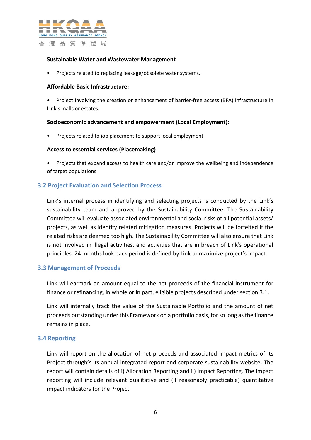

#### **Sustainable Water and Wastewater Management**

• Projects related to replacing leakage/obsolete water systems.

#### **Affordable Basic Infrastructure:**

• Project involving the creation or enhancement of barrier-free access (BFA) infrastructure in Link's malls or estates.

#### **Socioeconomic advancement and empowerment (Local Employment):**

• Projects related to job placement to support local employment

#### **Access to essential services (Placemaking)**

• Projects that expand access to health care and/or improve the wellbeing and independence of target populations

#### <span id="page-5-0"></span>**3.2 Project Evaluation and Selection Process**

Link's internal process in identifying and selecting projects is conducted by the Link's sustainability team and approved by the Sustainability Committee. The Sustainability Committee will evaluate associated environmental and social risks of all potential assets/ projects, as well as identify related mitigation measures. Projects will be forfeited if the related risks are deemed too high. The Sustainability Committee will also ensure that Link is not involved in illegal activities, and activities that are in breach of Link's operational principles. 24 months look back period is defined by Link to maximize project's impact.

#### <span id="page-5-1"></span>**3.3 Management of Proceeds**

Link will earmark an amount equal to the net proceeds of the financial instrument for finance or refinancing, in whole or in part, eligible projects described under section 3.1.

Link will internally track the value of the Sustainable Portfolio and the amount of net proceeds outstanding under this Framework on a portfolio basis, for so long as the finance remains in place.

#### <span id="page-5-2"></span>**3.4 Reporting**

Link will report on the allocation of net proceeds and associated impact metrics of its Project through's its annual integrated report and corporate sustainability website. The report will contain details of i) Allocation Reporting and ii) Impact Reporting. The impact reporting will include relevant qualitative and (if reasonably practicable) quantitative impact indicators for the Project.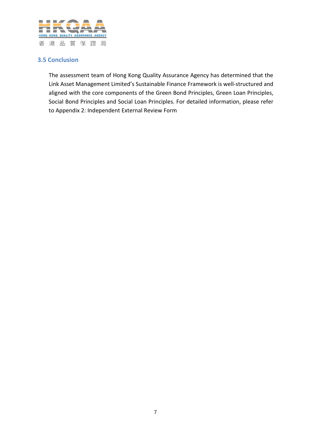

## <span id="page-6-0"></span>**3.5 Conclusion**

The assessment team of Hong Kong Quality Assurance Agency has determined that the Link Asset Management Limited's Sustainable Finance Framework is well-structured and aligned with the core components of the Green Bond Principles, Green Loan Principles, Social Bond Principles and Social Loan Principles. For detailed information, please refer to Appendix 2: Independent External Review Form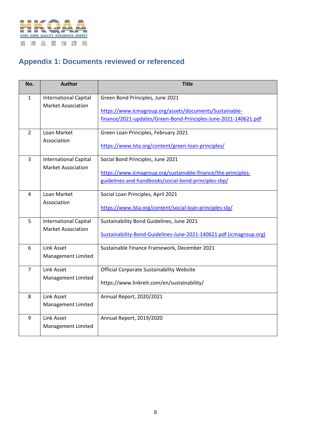

# <span id="page-7-0"></span>**Appendix 1: Documents reviewed or referenced**

| No.            | <b>Author</b>                | <b>Title</b>                                                        |
|----------------|------------------------------|---------------------------------------------------------------------|
| 1              | <b>International Capital</b> | Green Bond Principles, June 2021                                    |
|                | <b>Market Association</b>    | https://www.icmagroup.org/assets/documents/Sustainable-             |
|                |                              | finance/2021-updates/Green-Bond-Principles-June-2021-140621.pdf     |
| $\overline{2}$ | Loan Market<br>Association   | Green Loan Principles, February 2021                                |
|                |                              | https://www.lsta.org/content/green-loan-principles/                 |
| 3              | <b>International Capital</b> | Social Bond Principles, June 2021                                   |
|                | <b>Market Association</b>    | https://www.icmagroup.org/sustainable-finance/the-principles-       |
|                |                              | guidelines-and-handbooks/social-bond-principles-sbp/                |
| 4              | Loan Market                  | Social Loan Principles, April 2021                                  |
|                | Association                  | https://www.lsta.org/content/social-loan-principles-slp/            |
| 5              | <b>International Capital</b> | Sustainability Bond Guidelines, June 2021                           |
|                | <b>Market Association</b>    | Sustainability-Bond-Guidelines-June-2021-140621.pdf (icmagroup.org) |
| 6              | <b>Link Asset</b>            | Sustainable Finance Framework, December 2021                        |
|                | Management Limited           |                                                                     |
| $\overline{7}$ | <b>Link Asset</b>            | Official Corporate Sustainability Website                           |
|                | Management Limited           | https://www.linkreit.com/en/sustainability/                         |
| 8              | <b>Link Asset</b>            | Annual Report, 2020/2021                                            |
|                | Management Limited           |                                                                     |
| 9              | <b>Link Asset</b>            | Annual Report, 2019/2020                                            |
|                | Management Limited           |                                                                     |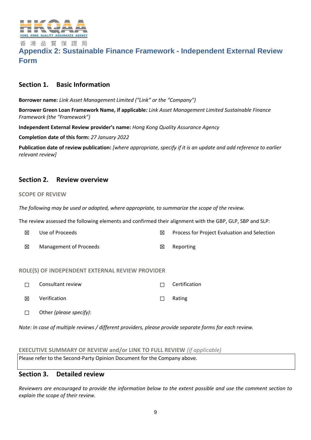

## <span id="page-8-0"></span>香港品質保證局 **Appendix 2: Sustainable Finance Framework - Independent External Review Form**

## **Section 1. Basic Information**

**Borrower name:** *Link Asset Management Limited ("Link" or the "Company")*

**Borrower Green Loan Framework Name, if applicable***: Link Asset Management Limited Sustainable Finance Framework (the "Framework")*

**Independent External Review provider's name:** *Hong Kong Quality Assurance Agency*

**Completion date of this form:** *27 January 2022*

**Publication date of review publication:** *[where appropriate, specify if it is an update and add reference to earlier relevant review]*

## **Section 2. Review overview**

#### **SCOPE OF REVIEW**

*The following may be used or adapted, where appropriate, to summarize the scope of the review.* 

The review assessed the following elements and confirmed their alignment with the GBP, GLP, SBP and SLP:

| 冈 | Use of Proceeds                                | ⊠ | Process for Project Evaluation and Selection |
|---|------------------------------------------------|---|----------------------------------------------|
| ⊠ | Management of Proceeds                         | ⋈ | Reporting                                    |
|   | OLEICI OE INDEDENDENT EVTEDNAL DEVIEW DROVIDED |   |                                              |

#### **ROLE(S) OF INDEPENDENT EXTERNAL REVIEW PROVIDER**

| $\Box$ | Consultant review | $\Box$ Certification |
|--------|-------------------|----------------------|
| 冈      | Verification      | $\Box$ Rating        |

☐ Other *(please specify)*:

*Note: In case of multiple reviews / different providers, please provide separate forms for each review.* 

#### **EXECUTIVE SUMMARY OF REVIEW and/or LINK TO FULL REVIEW** *(if applicable)*

Please refer to the Second-Party Opinion Document for the Company above.

## **Section 3. Detailed review**

*Reviewers are encouraged to provide the information below to the extent possible and use the comment section to explain the scope of their review.*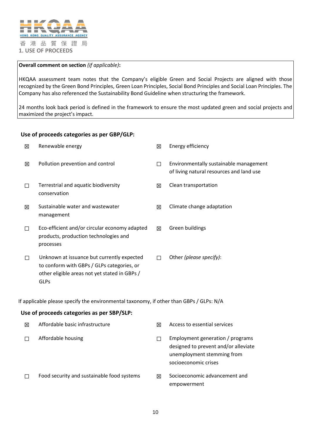

#### **Overall comment on section** *(if applicable)***:**

HKQAA assessment team notes that the Company's eligible Green and Social Projects are aligned with those recognized by the Green Bond Principles, Green Loan Principles, Social Bond Principles and Social Loan Principles. The Company has also referenced the Sustainability Bond Guideline when structuring the framework.

24 months look back period is defined in the framework to ensure the most updated green and social projects and maximized the project's impact.

#### **Use of proceeds categories as per GBP/GLP:**

| 区      | Renewable energy                                                                                                                                         | 区           | Energy efficiency                                                                                                              |
|--------|----------------------------------------------------------------------------------------------------------------------------------------------------------|-------------|--------------------------------------------------------------------------------------------------------------------------------|
| 区      | Pollution prevention and control                                                                                                                         | $\Box$      | Environmentally sustainable management<br>of living natural resources and land use                                             |
| П      | Terrestrial and aquatic biodiversity<br>conservation                                                                                                     | 区           | Clean transportation                                                                                                           |
| 図      | Sustainable water and wastewater<br>management                                                                                                           | 区           | Climate change adaptation                                                                                                      |
| П      | Eco-efficient and/or circular economy adapted<br>products, production technologies and<br>processes                                                      | $\boxtimes$ | Green buildings                                                                                                                |
| $\Box$ | Unknown at issuance but currently expected<br>to conform with GBPs / GLPs categories, or<br>other eligible areas not yet stated in GBPs /<br><b>GLPs</b> | П           | Other (please specify):                                                                                                        |
|        | If applicable please specify the environmental taxonomy, if other than GBPs / GLPs: N/A                                                                  |             |                                                                                                                                |
|        | Use of proceeds categories as per SBP/SLP:                                                                                                               |             |                                                                                                                                |
| 区      | Affordable basic infrastructure                                                                                                                          | 区           | Access to essential services                                                                                                   |
| П      | Affordable housing                                                                                                                                       | П           | Employment generation / programs<br>designed to prevent and/or alleviate<br>unemployment stemming from<br>socioeconomic crises |

□ Food security and sustainable food systems <br>
□ Socioeconomic advancement and empowerment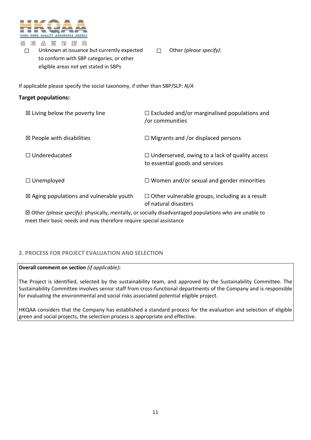

□ Unknown at issuance but currently expected to conform with SBP categories, or other eligible areas not yet stated in SBPs

☐ Other *(please specify)*:

If applicable please specify the social taxonomy, if other than SBP/SLP: *N/A*

### **Target populations:**

| $\boxtimes$ Living below the poverty line          | $\Box$ Excluded and/or marginalised populations and<br>or communities                    |
|----------------------------------------------------|------------------------------------------------------------------------------------------|
| $\boxtimes$ People with disabilities               | $\Box$ Migrants and /or displaced persons                                                |
| $\Box$ Undereducated                               | $\Box$ Underserved, owing to a lack of quality access<br>to essential goods and services |
| $\Box$ Unemployed                                  | $\Box$ Women and/or sexual and gender minorities                                         |
| $\boxtimes$ Aging populations and vulnerable youth | $\Box$ Other vulnerable groups, including as a result<br>of natural disasters            |

☒ Other *(please specify)*: physically, mentally, or socially disadvantaged populations who are unable to meet their basic needs and may therefore require special assistance

## **2. PROCESS FOR PROJECT EVALUATION AND SELECTION**

**Overall comment on section** *(if applicable)***:**

The Project is identified, selected by the sustainability team, and approved by the Sustainability Committee. The Sustainability Committee involves senior staff from cross-functional departments of the Company and is responsible for evaluating the environmental and social risks associated potential eligible project.

HKQAA considers that the Company has established a standard process for the evaluation and selection of eligible green and social projects, the selection process is appropriate and effective.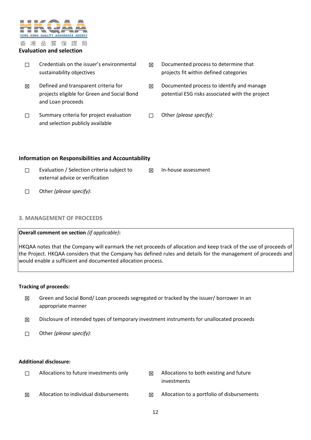

#### **Evaluation and selection**

- ☐ Credentials on the issuer's environmental sustainability objectives
- $\boxtimes$  Defined and transparent criteria for projects eligible for Green and Social Bond and Loan proceeds
- □ Summary criteria for project evaluation and selection publicly available
- $\boxtimes$  Documented process to determine that projects fit within defined categories
- $\boxtimes$  Documented process to identify and manage potential ESG risks associated with the project
- ☐ Other *(please specify):*

#### **Information on Responsibilities and Accountability**

- ☐ Evaluation / Selection criteria subject to external advice or verification ☒ In-house assessment
- ☐ Other *(please specify)*:

#### **3. MANAGEMENT OF PROCEEDS**

#### **Overall comment on section** *(if applicable)***:**

HKQAA notes that the Company will earmark the net proceeds of allocation and keep track of the use of proceeds of the Project. HKQAA considers that the Company has defined rules and details for the management of proceeds and would enable a sufficient and documented allocation process.

#### **Tracking of proceeds:**

- $✓$  Green and Social Bond/ Loan proceeds segregated or tracked by the issuer/ borrower in an appropriate manner
- $\boxtimes$  Disclosure of intended types of temporary investment instruments for unallocated proceeds
- ☐ Other *(please specify)*:

#### **Additional disclosure:**

- □ Allocations to future investments only △ Allocations to both existing and future
	- investments
- $\boxtimes$  Allocation to individual disbursements  $\boxtimes$  Allocation to a portfolio of disbursements
	- 12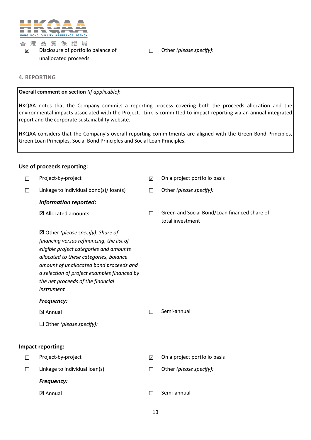

#### 香港品質保證局 ☒ Disclosure of portfolio balance of unallocated proceeds

☐ Other *(please specify)*:

#### **4. REPORTING**

#### **Overall comment on section** *(if applicable)***:**

HKQAA notes that the Company commits a reporting process covering both the proceeds allocation and the environmental impacts associated with the Project. Link is committed to impact reporting via an annual integrated report and the corporate sustainability website.

HKQAA considers that the Company's overall reporting commitments are aligned with the Green Bond Principles, Green Loan Principles, Social Bond Principles and Social Loan Principles.

#### **Use of proceeds reporting:**

| $\Box$ | Project-by-project                                                                                                                                                                                                                                                                                                          | 区 | On a project portfolio basis                                     |
|--------|-----------------------------------------------------------------------------------------------------------------------------------------------------------------------------------------------------------------------------------------------------------------------------------------------------------------------------|---|------------------------------------------------------------------|
| □      | Linkage to individual bond(s)/ loan(s)                                                                                                                                                                                                                                                                                      | П | Other (please specify):                                          |
|        | <b>Information reported:</b>                                                                                                                                                                                                                                                                                                |   |                                                                  |
|        | ⊠ Allocated amounts                                                                                                                                                                                                                                                                                                         | П | Green and Social Bond/Loan financed share of<br>total investment |
|        | $\boxtimes$ Other (please specify): Share of<br>financing versus refinancing, the list of<br>eligible project categories and amounts<br>allocated to these categories, balance<br>amount of unallocated bond proceeds and<br>a selection of project examples financed by<br>the net proceeds of the financial<br>instrument |   |                                                                  |
|        | Frequency:                                                                                                                                                                                                                                                                                                                  |   |                                                                  |
|        | ⊠ Annual                                                                                                                                                                                                                                                                                                                    | П | Semi-annual                                                      |
|        | $\Box$ Other (please specify):                                                                                                                                                                                                                                                                                              |   |                                                                  |
|        |                                                                                                                                                                                                                                                                                                                             |   |                                                                  |
|        | Impact reporting:                                                                                                                                                                                                                                                                                                           |   |                                                                  |
| П      | Project-by-project                                                                                                                                                                                                                                                                                                          | ⊠ | On a project portfolio basis                                     |
| П      | Linkage to individual loan(s)                                                                                                                                                                                                                                                                                               | П | Other (please specify):                                          |
|        | Frequency:                                                                                                                                                                                                                                                                                                                  |   |                                                                  |
|        | ⊠ Annual                                                                                                                                                                                                                                                                                                                    | П | Semi-annual                                                      |
|        |                                                                                                                                                                                                                                                                                                                             |   |                                                                  |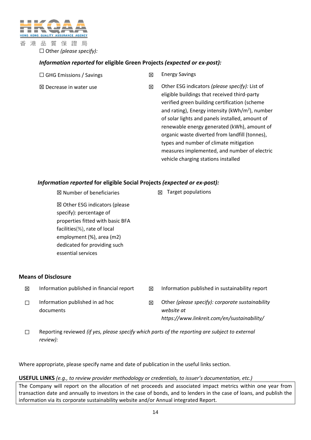

☐ Other *(please specify):*

## *Information reported* **for eligible Green Projects** *(expected or ex-post):*

| $\Box$ GHG Emissions / Savings |  |
|--------------------------------|--|
|--------------------------------|--|

- **⊠** Energy Savings
- 
- ☒ Decrease in water use ☒ Other ESG indicators *(please specify):* List of eligible buildings that received third-party verified green building certification (scheme and rating), Energy intensity (kWh/m<sup>2</sup>), number of solar lights and panels installed, amount of renewable energy generated (kWh), amount of organic waste diverted from landfill (tonnes), types and number of climate mitigation measures implemented, and number of electric vehicle charging stations installed

## *Information reported* **for eligible Social Projects** *(expected or ex-post):*

 $\boxtimes$  Number of beneficiaries  $\boxtimes$   $\boxtimes$  Target populations

☒ Other ESG indicators (please specify): percentage of properties fitted with basic BFA facilities(%), rate of local employment (%), area (m2) dedicated for providing such essential services

## **Means of Disclosure**

- 
- $\Box$  Information published in ad hoc documents
- $\boxtimes$  Information published in financial report  $\boxtimes$  Information published in sustainability report
	- ☒ Other *(please specify): corporate sustainability website at https://www.linkreit.com/en/sustainability/*
- ☐ Reporting reviewed *(if yes, please specify which parts of the reporting are subject to external review):*

Where appropriate, please specify name and date of publication in the useful links section.

#### **USEFUL LINKS** *(e.g., to review provider methodology or credentials, to issuer's documentation, etc.)*

The Company will report on the allocation of net proceeds and associated impact metrics within one year from transaction date and annually to investors in the case of bonds, and to lenders in the case of loans, and publish the information via its corporate sustainability website and/or Annual integrated Report.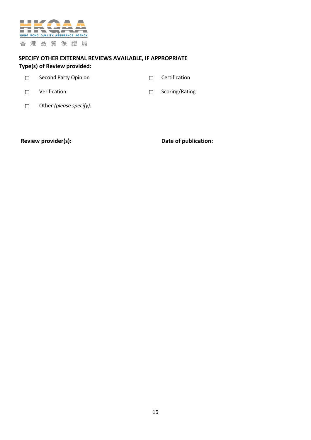

## **SPECIFY OTHER EXTERNAL REVIEWS AVAILABLE, IF APPROPRIATE Type(s) of Review provided:**

| Second Party Opinion | $\Box$ Certification |
|----------------------|----------------------|
|                      |                      |

- ☐ Verification ☐ Scoring/Rating
- 

☐ Other *(please specify):*

Review provider(s): **Date of publication:**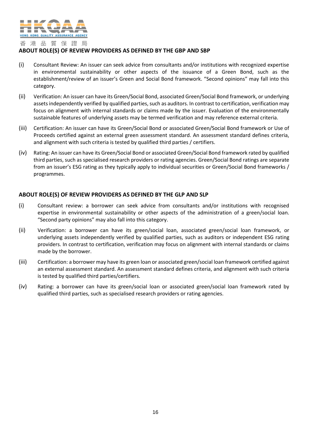

#### **ABOUT ROLE(S) OF REVIEW PROVIDERS AS DEFINED BY THE GBP AND SBP**

- (i) Consultant Review: An issuer can seek advice from consultants and/or institutions with recognized expertise in environmental sustainability or other aspects of the issuance of a Green Bond, such as the establishment/review of an issuer's Green and Social Bond framework. "Second opinions" may fall into this category.
- (ii) Verification: An issuer can have its Green/Social Bond, associated Green/Social Bond framework, or underlying assets independently verified by qualified parties, such as auditors. In contrast to certification, verification may focus on alignment with internal standards or claims made by the issuer. Evaluation of the environmentally sustainable features of underlying assets may be termed verification and may reference external criteria.
- (iii) Certification: An issuer can have its Green/Social Bond or associated Green/Social Bond framework or Use of Proceeds certified against an external green assessment standard. An assessment standard defines criteria, and alignment with such criteria is tested by qualified third parties / certifiers.
- (iv) Rating: An issuer can have its Green/Social Bond or associated Green/Social Bond framework rated by qualified third parties, such as specialised research providers or rating agencies. Green/Social Bond ratings are separate from an issuer's ESG rating as they typically apply to individual securities or Green/Social Bond frameworks / programmes.

#### **ABOUT ROLE(S) OF REVIEW PROVIDERS AS DEFINED BY THE GLP AND SLP**

- (i) Consultant review: a borrower can seek advice from consultants and/or institutions with recognised expertise in environmental sustainability or other aspects of the administration of a green/social loan. "Second party opinions" may also fall into this category.
- (ii) Verification: a borrower can have its green/social loan, associated green/social loan framework, or underlying assets independently verified by qualified parties, such as auditors or independent ESG rating providers. In contrast to certification, verification may focus on alignment with internal standards or claims made by the borrower.
- (iii) Certification: a borrower may have its green loan or associated green/social loan framework certified against an external assessment standard. An assessment standard defines criteria, and alignment with such criteria is tested by qualified third parties/certifiers.
- (iv) Rating: a borrower can have its green/social loan or associated green/social loan framework rated by qualified third parties, such as specialised research providers or rating agencies.